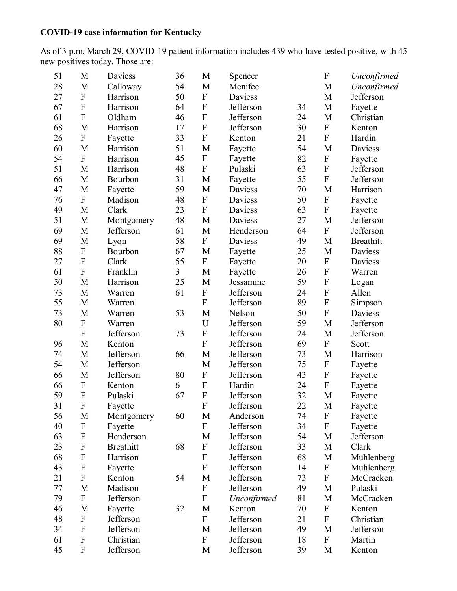## **COVID-19 case information for Kentucky**

As of 3 p.m. March 29, COVID-19 patient information includes 439 who have tested positive, with 45 new positives today. Those are:

| 51 | M                         | Daviess          | 36 | M           | Spencer     |    | $\boldsymbol{\mathrm{F}}$ | Unconfirmed      |
|----|---------------------------|------------------|----|-------------|-------------|----|---------------------------|------------------|
| 28 | M                         | Calloway         | 54 | M           | Menifee     |    | M                         | Unconfirmed      |
| 27 | ${\bf F}$                 | Harrison         | 50 | ${\bf F}$   | Daviess     |    | M                         | Jefferson        |
| 67 | ${\bf F}$                 | Harrison         | 64 | ${\bf F}$   | Jefferson   | 34 | M                         | Fayette          |
| 61 | ${\bf F}$                 | Oldham           | 46 | ${\bf F}$   | Jefferson   | 24 | M                         | Christian        |
| 68 | M                         | Harrison         | 17 | ${\bf F}$   | Jefferson   | 30 | ${\bf F}$                 | Kenton           |
| 26 | ${\bf F}$                 | Fayette          | 33 | ${\bf F}$   | Kenton      | 21 | $\overline{F}$            | Hardin           |
| 60 | M                         | Harrison         | 51 | M           | Fayette     | 54 | M                         | Daviess          |
| 54 | ${\bf F}$                 | Harrison         | 45 | ${\bf F}$   | Fayette     | 82 | ${\bf F}$                 | Fayette          |
| 51 | M                         | Harrison         | 48 | ${\bf F}$   | Pulaski     | 63 | $\boldsymbol{\mathrm{F}}$ | Jefferson        |
| 66 | M                         | Bourbon          | 31 | M           | Fayette     | 55 | ${\bf F}$                 | Jefferson        |
| 47 | M                         | Fayette          | 59 | M           | Daviess     | 70 | M                         | Harrison         |
| 76 | ${\bf F}$                 | Madison          | 48 | ${\bf F}$   | Daviess     | 50 | ${\bf F}$                 | Fayette          |
| 49 | M                         | Clark            | 23 | ${\bf F}$   | Daviess     | 63 | ${\bf F}$                 | Fayette          |
| 51 | M                         | Montgomery       | 48 | M           | Daviess     | 27 | M                         | Jefferson        |
| 69 | M                         | Jefferson        | 61 | M           | Henderson   | 64 | ${\bf F}$                 | Jefferson        |
| 69 | M                         | Lyon             | 58 | ${\bf F}$   | Daviess     | 49 | $\mathbf{M}$              | <b>Breathitt</b> |
| 88 | ${\bf F}$                 | Bourbon          | 67 | M           | Fayette     | 25 | M                         | Daviess          |
| 27 | ${\bf F}$                 | Clark            | 55 | ${\bf F}$   | Fayette     | 20 | ${\bf F}$                 | Daviess          |
| 61 | ${\bf F}$                 | Franklin         | 3  | M           | Fayette     | 26 | $\mathbf F$               | Warren           |
| 50 | M                         | Harrison         | 25 | M           | Jessamine   | 59 | $\overline{F}$            | Logan            |
| 73 | M                         | Warren           | 61 | ${\bf F}$   | Jefferson   | 24 | ${\bf F}$                 | Allen            |
| 55 | M                         | Warren           |    | $\mathbf F$ | Jefferson   | 89 | F                         | Simpson          |
| 73 | M                         | Warren           | 53 | M           | Nelson      | 50 | ${\bf F}$                 | Daviess          |
| 80 | ${\bf F}$                 | Warren           |    | U           | Jefferson   | 59 | M                         | Jefferson        |
|    | ${\bf F}$                 | Jefferson        | 73 | ${\bf F}$   | Jefferson   | 24 | M                         | Jefferson        |
| 96 | M                         | Kenton           |    | ${\bf F}$   | Jefferson   | 69 | ${\bf F}$                 | Scott            |
| 74 | M                         | Jefferson        | 66 | M           | Jefferson   | 73 | M                         | Harrison         |
| 54 | M                         | Jefferson        |    | M           | Jefferson   | 75 | ${\bf F}$                 | Fayette          |
| 66 | M                         | Jefferson        | 80 | ${\bf F}$   | Jefferson   | 43 | ${\bf F}$                 | Fayette          |
| 66 | ${\bf F}$                 | Kenton           | 6  | ${\bf F}$   | Hardin      | 24 | ${\bf F}$                 | Fayette          |
| 59 | $\overline{F}$            | Pulaski          | 67 | $\mathbf F$ | Jefferson   | 32 | M                         | Fayette          |
| 31 | F                         | Fayette          |    | F           | Jefferson   | 22 | M                         | Fayette          |
| 56 | M                         | Montgomery       | 60 | M           | Anderson    | 74 | $\boldsymbol{\mathrm{F}}$ | Fayette          |
| 40 | $\boldsymbol{\mathrm{F}}$ | Fayette          |    | ${\bf F}$   | Jefferson   | 34 | ${\bf F}$                 | Fayette          |
| 63 | ${\bf F}$                 | Henderson        |    | M           | Jefferson   | 54 | M                         | Jefferson        |
| 23 | ${\bf F}$                 | <b>Breathitt</b> | 68 | ${\bf F}$   | Jefferson   | 33 | M                         | Clark            |
| 68 | ${\bf F}$                 | Harrison         |    | ${\bf F}$   | Jefferson   | 68 | M                         | Muhlenberg       |
| 43 | ${\bf F}$                 | Fayette          |    | ${\bf F}$   | Jefferson   | 14 | $\boldsymbol{\mathrm{F}}$ | Muhlenberg       |
| 21 | ${\bf F}$                 | Kenton           | 54 | M           | Jefferson   | 73 | $\boldsymbol{F}$          | McCracken        |
| 77 | M                         | Madison          |    | ${\bf F}$   | Jefferson   | 49 | M                         | Pulaski          |
| 79 | ${\bf F}$                 | Jefferson        |    | ${\bf F}$   | Unconfirmed | 81 | M                         | McCracken        |
| 46 | M                         | Fayette          | 32 | M           | Kenton      | 70 | ${\bf F}$                 | Kenton           |
| 48 | ${\bf F}$                 | Jefferson        |    | ${\bf F}$   | Jefferson   | 21 | $\boldsymbol{\mathrm{F}}$ | Christian        |
| 34 | ${\bf F}$                 | Jefferson        |    | M           | Jefferson   | 49 | M                         | Jefferson        |
| 61 | $\boldsymbol{F}$          | Christian        |    | ${\bf F}$   | Jefferson   | 18 | $\boldsymbol{\mathrm{F}}$ | Martin           |
| 45 | $\boldsymbol{\mathrm{F}}$ | Jefferson        |    | M           | Jefferson   | 39 | M                         | Kenton           |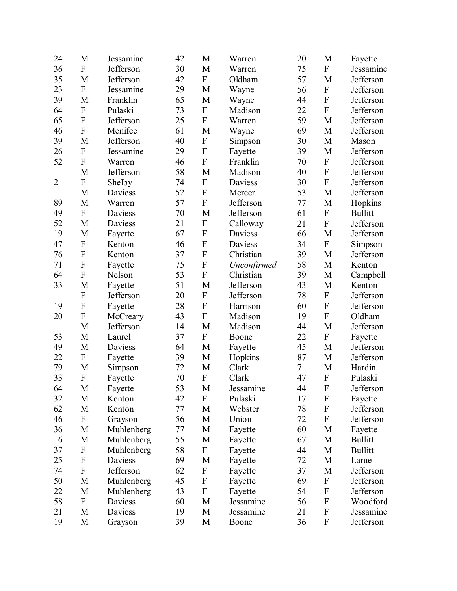| 24             | M                         | Jessamine  | 42 | M                         | Warren      | 20 | M                         | Fayette        |
|----------------|---------------------------|------------|----|---------------------------|-------------|----|---------------------------|----------------|
| 36             | $\mathbf F$               | Jefferson  | 30 | M                         | Warren      | 75 | $\overline{F}$            | Jessamine      |
| 35             | M                         | Jefferson  | 42 | ${\bf F}$                 | Oldham      | 57 | M                         | Jefferson      |
| 23             | ${\bf F}$                 | Jessamine  | 29 | M                         | Wayne       | 56 | ${\bf F}$                 | Jefferson      |
| 39             | M                         | Franklin   | 65 | M                         | Wayne       | 44 | ${\bf F}$                 | Jefferson      |
| 64             | ${\bf F}$                 | Pulaski    | 73 | ${\bf F}$                 | Madison     | 22 | ${\bf F}$                 | Jefferson      |
| 65             | $\mathbf F$               | Jefferson  | 25 | $\overline{F}$            | Warren      | 59 | M                         | Jefferson      |
| 46             | $\mathbf{F}$              | Menifee    | 61 | M                         | Wayne       | 69 | M                         | Jefferson      |
| 39             | M                         | Jefferson  | 40 | ${\bf F}$                 | Simpson     | 30 | M                         | Mason          |
| 26             | ${\bf F}$                 | Jessamine  | 29 | $\mathbf F$               | Fayette     | 39 | $\mathbf M$               | Jefferson      |
| 52             | ${\bf F}$                 | Warren     | 46 | ${\bf F}$                 | Franklin    | 70 | ${\bf F}$                 | Jefferson      |
|                | M                         | Jefferson  | 58 | M                         | Madison     | 40 | ${\bf F}$                 | Jefferson      |
| $\overline{2}$ | ${\bf F}$                 | Shelby     | 74 | ${\bf F}$                 | Daviess     | 30 | ${\bf F}$                 | Jefferson      |
|                | M                         | Daviess    | 52 | ${\bf F}$                 | Mercer      | 53 | M                         | Jefferson      |
| 89             | M                         | Warren     | 57 | ${\bf F}$                 | Jefferson   | 77 | M                         | Hopkins        |
| 49             | ${\bf F}$                 | Daviess    | 70 | M                         | Jefferson   | 61 | ${\bf F}$                 | <b>Bullitt</b> |
| 52             | M                         | Daviess    | 21 | ${\bf F}$                 | Calloway    | 21 | $\boldsymbol{\mathrm{F}}$ | Jefferson      |
| 19             | M                         | Fayette    | 67 | ${\bf F}$                 | Daviess     | 66 | M                         | Jefferson      |
| 47             | $\boldsymbol{\mathrm{F}}$ | Kenton     | 46 | $\boldsymbol{\mathrm{F}}$ | Daviess     | 34 | $\boldsymbol{\mathrm{F}}$ | Simpson        |
| 76             | $\mathbf F$               | Kenton     | 37 | ${\bf F}$                 | Christian   | 39 | M                         | Jefferson      |
| 71             | $\mathbf F$               | Fayette    | 75 | ${\bf F}$                 | Unconfirmed | 58 | M                         | Kenton         |
| 64             | ${\bf F}$                 | Nelson     | 53 | $\overline{F}$            | Christian   | 39 | M                         | Campbell       |
| 33             | M                         | Fayette    | 51 | M                         | Jefferson   | 43 | M                         | Kenton         |
|                | ${\bf F}$                 | Jefferson  | 20 | ${\bf F}$                 | Jefferson   | 78 | ${\bf F}$                 | Jefferson      |
| 19             | $\boldsymbol{\mathrm{F}}$ | Fayette    | 28 | $\boldsymbol{\mathrm{F}}$ | Harrison    | 60 | ${\bf F}$                 | Jefferson      |
| 20             | ${\bf F}$                 | McCreary   | 43 | ${\bf F}$                 | Madison     | 19 | $\overline{F}$            | Oldham         |
|                | M                         | Jefferson  | 14 | M                         | Madison     | 44 | M                         | Jefferson      |
| 53             | M                         | Laurel     | 37 | ${\bf F}$                 | Boone       | 22 | ${\bf F}$                 | Fayette        |
| 49             | M                         | Daviess    | 64 | M                         | Fayette     | 45 | M                         | Jefferson      |
| 22             | ${\bf F}$                 | Fayette    | 39 | M                         | Hopkins     | 87 | M                         | Jefferson      |
| 79             | M                         | Simpson    | 72 | M                         | Clark       | 7  | M                         | Hardin         |
| 33             | $\mathbf F$               | Fayette    | 70 | ${\bf F}$                 | Clark       | 47 | $\boldsymbol{\mathrm{F}}$ | Pulaski        |
| 64             | M                         | Fayette    | 53 | M                         | Jessamine   | 44 | $\mathbf F$               | Jefferson      |
| 32             | M                         | Kenton     | 42 | $\boldsymbol{\mathrm{F}}$ | Pulaski     | 17 | $\boldsymbol{\mathrm{F}}$ | Fayette        |
| 62             | M                         | Kenton     | 77 | M                         | Webster     | 78 | $\boldsymbol{\mathrm{F}}$ | Jefferson      |
| 46             | $\boldsymbol{F}$          | Grayson    | 56 | M                         | Union       | 72 | $\boldsymbol{\mathrm{F}}$ | Jefferson      |
| 36             | $\mathbf M$               | Muhlenberg | 77 | $\mathbf M$               | Fayette     | 60 | M                         | Fayette        |
| 16             | M                         | Muhlenberg | 55 | M                         | Fayette     | 67 | M                         | <b>Bullitt</b> |
| 37             | $\mathbf{F}$              | Muhlenberg | 58 | $\boldsymbol{\mathrm{F}}$ | Fayette     | 44 | M                         | <b>Bullitt</b> |
| 25             | ${\bf F}$                 | Daviess    | 69 | M                         | Fayette     | 72 | M                         | Larue          |
| 74             | $\boldsymbol{\mathrm{F}}$ | Jefferson  | 62 | $\boldsymbol{\mathrm{F}}$ | Fayette     | 37 | M                         | Jefferson      |
| 50             | M                         | Muhlenberg | 45 | $\boldsymbol{\mathrm{F}}$ | Fayette     | 69 | $\boldsymbol{\mathrm{F}}$ | Jefferson      |
| 22             | M                         | Muhlenberg | 43 | $\boldsymbol{\mathrm{F}}$ | Fayette     | 54 | $\boldsymbol{\mathrm{F}}$ | Jefferson      |
| 58             | $\mathbf F$               | Daviess    | 60 | M                         | Jessamine   | 56 | $\boldsymbol{\mathrm{F}}$ | Woodford       |
| 21             | M                         | Daviess    | 19 | M                         | Jessamine   | 21 | $\mathbf F$               | Jessamine      |
| 19             | M                         | Grayson    | 39 | M                         | Boone       | 36 | $\boldsymbol{\mathrm{F}}$ | Jefferson      |
|                |                           |            |    |                           |             |    |                           |                |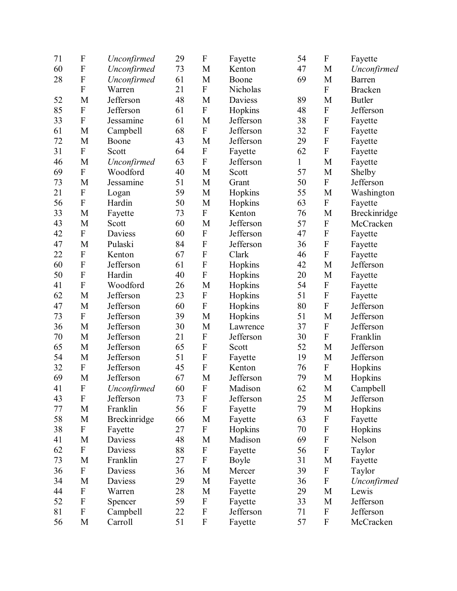| 71 | $\mathbf F$               | Unconfirmed  | 29 | $\boldsymbol{\mathrm{F}}$ | Fayette   | 54 | $\boldsymbol{\mathrm{F}}$ | Fayette        |
|----|---------------------------|--------------|----|---------------------------|-----------|----|---------------------------|----------------|
| 60 | $\mathbf F$               | Unconfirmed  | 73 | M                         | Kenton    | 47 | M                         | Unconfirmed    |
| 28 | ${\bf F}$                 | Unconfirmed  | 61 | M                         | Boone     | 69 | M                         | Barren         |
|    | $\mathbf F$               | Warren       | 21 | $\boldsymbol{\mathrm{F}}$ | Nicholas  |    | $\boldsymbol{\mathrm{F}}$ | <b>Bracken</b> |
| 52 | M                         | Jefferson    | 48 | M                         | Daviess   | 89 | M                         | <b>Butler</b>  |
| 85 | ${\bf F}$                 | Jefferson    | 61 | $\boldsymbol{\mathrm{F}}$ | Hopkins   | 48 | $\boldsymbol{\mathrm{F}}$ | Jefferson      |
| 33 | ${\bf F}$                 | Jessamine    | 61 | M                         | Jefferson | 38 | $\boldsymbol{\mathrm{F}}$ | Fayette        |
| 61 | M                         | Campbell     | 68 | ${\bf F}$                 | Jefferson | 32 | $\boldsymbol{\mathrm{F}}$ | Fayette        |
| 72 | M                         | Boone        | 43 | M                         | Jefferson | 29 | $\boldsymbol{\mathrm{F}}$ | Fayette        |
| 31 | ${\bf F}$                 | Scott        | 64 | ${\bf F}$                 | Fayette   | 62 | $\boldsymbol{\mathrm{F}}$ | Fayette        |
| 46 | M                         | Unconfirmed  | 63 | ${\bf F}$                 | Jefferson | 1  | M                         | Fayette        |
| 69 | $\boldsymbol{\mathrm{F}}$ | Woodford     | 40 | M                         | Scott     | 57 | M                         | Shelby         |
| 73 | $\mathbf M$               | Jessamine    | 51 | $\mathbf M$               | Grant     | 50 | ${\bf F}$                 | Jefferson      |
| 21 | $\mathbf{F}$              | Logan        | 59 | $\mathbf M$               | Hopkins   | 55 | M                         | Washington     |
| 56 | $\boldsymbol{\mathrm{F}}$ | Hardin       | 50 | M                         | Hopkins   | 63 | ${\bf F}$                 | Fayette        |
| 33 | M                         | Fayette      | 73 | ${\bf F}$                 | Kenton    | 76 | $\mathbf M$               | Breckinridge   |
| 43 | M                         | Scott        | 60 | M                         | Jefferson | 57 | $\boldsymbol{\mathrm{F}}$ | McCracken      |
| 42 | ${\bf F}$                 | Daviess      | 60 | ${\bf F}$                 | Jefferson | 47 | $\boldsymbol{\mathrm{F}}$ | Fayette        |
| 47 | M                         | Pulaski      | 84 | ${\bf F}$                 | Jefferson | 36 | $\boldsymbol{\mathrm{F}}$ | Fayette        |
| 22 | ${\bf F}$                 | Kenton       | 67 | $\boldsymbol{\mathrm{F}}$ | Clark     | 46 | $\boldsymbol{\mathrm{F}}$ | Fayette        |
| 60 | $\boldsymbol{\mathrm{F}}$ | Jefferson    | 61 | $\boldsymbol{\mathrm{F}}$ | Hopkins   | 42 | M                         | Jefferson      |
| 50 | $\mathbf{F}$              | Hardin       | 40 | $\boldsymbol{\mathrm{F}}$ | Hopkins   | 20 | M                         | Fayette        |
| 41 | $\mathbf F$               | Woodford     | 26 | M                         | Hopkins   | 54 | $\boldsymbol{\mathrm{F}}$ | Fayette        |
| 62 | M                         | Jefferson    | 23 | $\boldsymbol{\mathrm{F}}$ | Hopkins   | 51 | $\boldsymbol{\mathrm{F}}$ | Fayette        |
| 47 | $\mathbf M$               | Jefferson    | 60 | ${\bf F}$                 | Hopkins   | 80 | $\boldsymbol{\mathrm{F}}$ | Jefferson      |
| 73 | ${\bf F}$                 | Jefferson    | 39 | M                         | Hopkins   | 51 | M                         | Jefferson      |
| 36 | $\mathbf M$               | Jefferson    | 30 | M                         | Lawrence  | 37 | $\boldsymbol{\mathrm{F}}$ | Jefferson      |
| 70 | M                         | Jefferson    | 21 | ${\bf F}$                 | Jefferson | 30 | $\mathbf F$               | Franklin       |
| 65 | M                         | Jefferson    | 65 | $\mathbf F$               | Scott     | 52 | M                         | Jefferson      |
| 54 | $\mathbf M$               | Jefferson    | 51 | $\boldsymbol{\mathrm{F}}$ | Fayette   | 19 | $\mathbf M$               | Jefferson      |
| 32 | ${\bf F}$                 | Jefferson    | 45 | ${\bf F}$                 | Kenton    | 76 | ${\bf F}$                 | Hopkins        |
| 69 | M                         | Jefferson    | 67 | M                         | Jefferson | 79 | M                         | Hopkins        |
| 41 | ${\bf F}$                 | Unconfirmed  | 60 | ${\bf F}$                 | Madison   | 62 | $\mathbf M$               | Campbell       |
| 43 | $\mathbf{F}$              | Jefferson    | 73 | $\boldsymbol{\mathrm{F}}$ | Jefferson | 25 | M                         | Jefferson      |
| 77 | M                         | Franklin     | 56 | ${\bf F}$                 | Fayette   | 79 | $\mathbf M$               | Hopkins        |
| 58 | M                         | Breckinridge | 66 | M                         | Fayette   | 63 | $\boldsymbol{\mathrm{F}}$ | Fayette        |
| 38 | ${\bf F}$                 | Fayette      | 27 | ${\bf F}$                 | Hopkins   | 70 | $\boldsymbol{\mathrm{F}}$ | Hopkins        |
| 41 | M                         | Daviess      | 48 | M                         | Madison   | 69 | $\boldsymbol{\mathrm{F}}$ | Nelson         |
| 62 | ${\bf F}$                 | Daviess      | 88 | ${\bf F}$                 | Fayette   | 56 | $\boldsymbol{\mathrm{F}}$ | Taylor         |
| 73 | M                         | Franklin     | 27 | ${\bf F}$                 | Boyle     | 31 | M                         | Fayette        |
| 36 | ${\bf F}$                 | Daviess      | 36 | M                         | Mercer    | 39 | ${\bf F}$                 | Taylor         |
| 34 | M                         | Daviess      | 29 | M                         | Fayette   | 36 | $\boldsymbol{\mathrm{F}}$ | Unconfirmed    |
| 44 | ${\bf F}$                 | Warren       | 28 | M                         | Fayette   | 29 | M                         | Lewis          |
| 52 | $\boldsymbol{\mathrm{F}}$ | Spencer      | 59 | ${\bf F}$                 | Fayette   | 33 | M                         | Jefferson      |
| 81 | $\boldsymbol{\mathrm{F}}$ | Campbell     | 22 | $\boldsymbol{\mathrm{F}}$ | Jefferson | 71 | ${\bf F}$                 | Jefferson      |
| 56 | M                         | Carroll      | 51 | $\boldsymbol{\mathrm{F}}$ | Fayette   | 57 | $\boldsymbol{\mathrm{F}}$ | McCracken      |
|    |                           |              |    |                           |           |    |                           |                |